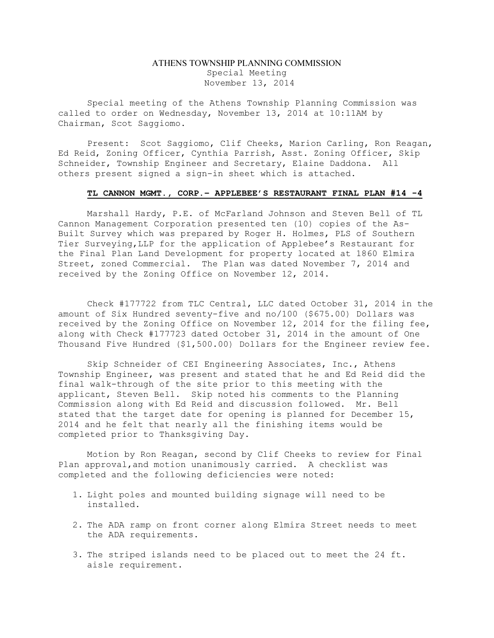## ATHENS TOWNSHIP PLANNING COMMISSION Special Meeting November 13, 2014

Special meeting of the Athens Township Planning Commission was called to order on Wednesday, November 13, 2014 at 10:11AM by Chairman, Scot Saggiomo.

Present: Scot Saggiomo, Clif Cheeks, Marion Carling, Ron Reagan, Ed Reid, Zoning Officer, Cynthia Parrish, Asst. Zoning Officer, Skip Schneider, Township Engineer and Secretary, Elaine Daddona. All others present signed a sign-in sheet which is attached.

## TL CANNON MGMT., CORP.– APPLEBEE'S RESTAURANT FINAL PLAN #14 -4

Marshall Hardy, P.E. of McFarland Johnson and Steven Bell of TL Cannon Management Corporation presented ten (10) copies of the As-Built Survey which was prepared by Roger H. Holmes, PLS of Southern Tier Surveying,LLP for the application of Applebee's Restaurant for the Final Plan Land Development for property located at 1860 Elmira Street, zoned Commercial. The Plan was dated November 7, 2014 and received by the Zoning Office on November 12, 2014.

Check #177722 from TLC Central, LLC dated October 31, 2014 in the amount of Six Hundred seventy-five and no/100 (\$675.00) Dollars was received by the Zoning Office on November 12, 2014 for the filing fee, along with Check #177723 dated October 31, 2014 in the amount of One Thousand Five Hundred (\$1,500.00) Dollars for the Engineer review fee.

Skip Schneider of CEI Engineering Associates, Inc., Athens Township Engineer, was present and stated that he and Ed Reid did the final walk-through of the site prior to this meeting with the applicant, Steven Bell. Skip noted his comments to the Planning Commission along with Ed Reid and discussion followed. Mr. Bell stated that the target date for opening is planned for December 15, 2014 and he felt that nearly all the finishing items would be completed prior to Thanksgiving Day.

Motion by Ron Reagan, second by Clif Cheeks to review for Final Plan approval,and motion unanimously carried. A checklist was completed and the following deficiencies were noted:

- 1. Light poles and mounted building signage will need to be installed.
- 2. The ADA ramp on front corner along Elmira Street needs to meet the ADA requirements.
- 3. The striped islands need to be placed out to meet the 24 ft. aisle requirement.